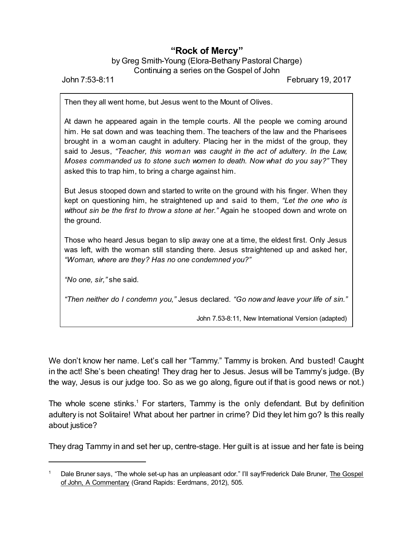## **"Rock of Mercy"**

by Greg Smith-Young (Elora-Bethany Pastoral Charge) Continuing a series on the Gospel of John

John 7:53-8:11 February 19, 2017

Then they all went home, but Jesus went to the Mount of Olives.

At dawn he appeared again in the temple courts. All the people we coming around him. He sat down and was teaching them. The teachers of the law and the Pharisees brought in a woman caught in adultery. Placing her in the midst of the group, they said to Jesus, *"Teacher, this woman was caught in the act of adultery. In the Law, Moses commanded us to stone such women to death. Now what do you say?"* They asked this to trap him, to bring a charge against him.

But Jesus stooped down and started to write on the ground with his finger. When they kept on questioning him, he straightened up and said to them, *"Let the one who is without sin be the first to throw a stone at her."* Again he stooped down and wrote on the ground.

Those who heard Jesus began to slip away one at a time, the eldest first. Only Jesus was left, with the woman still standing there. Jesus straightened up and asked her, *"Woman, where are they? Has no one condemned you?"*

*"No one, sir,"* she said.

*"Then neither do I condemn you,"* Jesus declared. *"Go now and leave your life of sin."*

John 7.53-8:11, New International Version (adapted)

We don't know her name. Let's call her "Tammy." Tammy is broken. And busted! Caught in the act! She's been cheating! They drag her to Jesus. Jesus will be Tammy's judge. (By the way, Jesus is our judge too. So as we go along, figure out if that is good news or not.)

The whole scene stinks.<sup>1</sup> For starters, Tammy is the only defendant. But by definition adultery is not Solitaire! What about her partner in crime? Did they let him go? Is this really about justice?

They drag Tammy in and set her up, centre-stage. Her guilt is at issue and her fate is being

Dale Bruner says, "The whole set-up has an unpleasant odor." I'll say!Frederick Dale Bruner, The Gospel of John, A Commentary (Grand Rapids: Eerdmans, 2012), 505.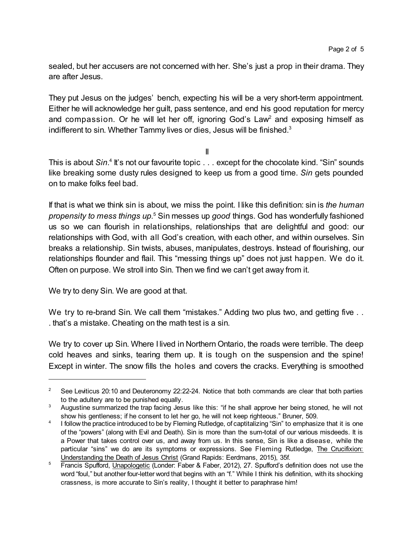sealed, but her accusers are not concerned with her. She's just a prop in their drama. They are after Jesus.

They put Jesus on the judges' bench, expecting his will be a very short-term appointment. Either he will acknowledge her guilt, pass sentence, and end his good reputation for mercy and compassion. Or he will let her off, ignoring God's  $Law<sup>2</sup>$  and exposing himself as indifferent to sin. Whether Tammy lives or dies, Jesus will be finished.<sup>3</sup>

II

This is about Sin.<sup>4</sup> It's not our favourite topic . . . except for the chocolate kind. "Sin" sounds like breaking some dusty rules designed to keep us from a good time. *Sin* gets pounded on to make folks feel bad.

If that is what we think sin is about, we miss the point. I like this definition: sin is *the human propensity to mess things up.*<sup>5</sup> Sin messes up *good* things. God has wonderfully fashioned us so we can flourish in relationships, relationships that are delightful and good: our relationships with God, with all God's creation, with each other, and within ourselves. Sin breaks a relationship. Sin twists, abuses, manipulates, destroys. Instead of flourishing, our relationships flounder and flail. This "messing things up" does not just happen. We do it. Often on purpose. We stroll into Sin. Then we find we can't get away from it.

We try to deny Sin. We are good at that.

We try to re-brand Sin. We call them "mistakes." Adding two plus two, and getting five ... . that's a mistake. Cheating on the math test is a sin.

We try to cover up Sin. Where I lived in Northern Ontario, the roads were terrible. The deep cold heaves and sinks, tearing them up. It is tough on the suspension and the spine! Except in winter. The snow fills the holes and covers the cracks. Everything is smoothed

<sup>&</sup>lt;sup>2</sup> See Leviticus 20:10 and Deuteronomy 22:22-24. Notice that both commands are clear that both parties to the adultery are to be punished equally.

<sup>&</sup>lt;sup>3</sup> Augustine summarized the trap facing Jesus like this: "if he shall approve her being stoned, he will not show his gentleness; if he consent to let her go, he will not keep righteous." Bruner, 509.

<sup>4</sup> I follow the practice introduced to be by Fleming Rutledge, of captitalizing "Sin" to emphasize that it is one of the "powers" (along with Evil and Death). Sin is more than the sum-total of our various misdeeds. It is a Power that takes control over us, and away from us. In this sense, Sin is like a disease, while the particular "sins" we do are its symptoms or expressions. See Fleming Rutledge, The Crucifixion: Understanding the Death of Jesus Christ (Grand Rapids: Eerdmans, 2015), 35f.

<sup>&</sup>lt;sup>5</sup> Francis Spufford, Unapologetic (Londer: Faber & Faber, 2012), 27. Spufford's definition does not use the word "foul," but another four-letter word that begins with an "f." While I think his definition, with its shocking crassness, is more accurate to Sin's reality, I thought it better to paraphrase him!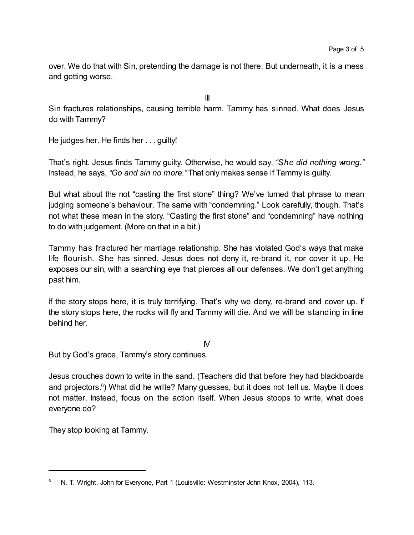over. We do that with Sin, pretending the damage is not there. But underneath, it is a mess and getting worse.

Sin fractures relationships, causing terrible harm. Tammy has sinned. What does Jesus do with Tammy?

III

He judges her. He finds her . . . guilty!

That's right. Jesus finds Tammy guilty. Otherwise, he would say, *"She did nothing wrong."* Instead, he says, *"Go and sin no more."* That only makes sense if Tammy is guilty.

But what about the not "casting the first stone" thing? We've turned that phrase to mean judging someone's behaviour. The same with "condemning." Look carefully, though. That's not what these mean in the story. "Casting the first stone" and "condemning" have nothing to do with judgement. (More on that in a bit.)

Tammy has fractured her marriage relationship. She has violated God's ways that make life flourish. She has sinned. Jesus does not deny it, re-brand it, nor cover it up. He exposes our sin, with a searching eye that pierces all our defenses. We don't get anything past him.

If the story stops here, it is truly terrifying. That's why we deny, re-brand and cover up. If the story stops here, the rocks will fly and Tammy will die. And we will be standing in line behind her.

 $\mathsf{N}$ 

But by God's grace, Tammy's story continues.

Jesus crouches down to write in the sand. (Teachers did that before they had blackboards and projectors.<sup>6</sup>) What did he write? Many guesses, but it does not tell us. Maybe it does not matter. Instead, focus on the action itself. When Jesus stoops to write, what does everyone do?

They stop looking at Tammy.

N. T. Wright, John for Everyone, Part 1 (Louisville: Westminster John Knox, 2004), 113.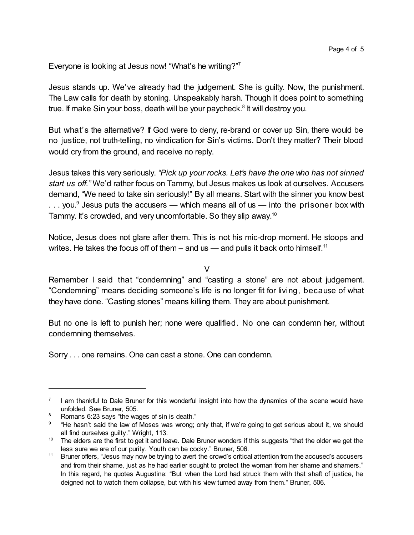Everyone is looking at Jesus now! "What's he writing?"<sup>7</sup>

Jesus stands up. We've already had the judgement. She is guilty. Now, the punishment. The Law calls for death by stoning. Unspeakably harsh. Though it does point to something true. If make Sin your boss, death will be your paycheck.<sup>8</sup> It will destroy you.

But what's the alternative? If God were to deny, re-brand or cover up Sin, there would be no justice, not truth-telling, no vindication for Sin's victims. Don't they matter? Their blood would cry from the ground, and receive no reply.

Jesus takes this very seriously. *"Pick up your rocks. Let's have the one who has not sinned start us off."* We'd rather focus on Tammy, but Jesus makes us look at ourselves. Accusers demand, "We need to take sin seriously!" By all means. Start with the sinner you know best ... you.<sup>9</sup> Jesus puts the accusers — which means all of us — into the prisoner box with Tammy. It's crowded, and very uncomfortable. So they slip away.<sup>10</sup>

Notice, Jesus does not glare after them. This is not his mic-drop moment. He stoops and writes. He takes the focus off of them – and us — and pulls it back onto himself.<sup>11</sup>

 $\overline{V}$ 

Remember I said that "condemning" and "casting a stone" are not about judgement. "Condemning" means deciding someone's life is no longer fit for living, because of what they have done. "Casting stones" means killing them. They are about punishment.

But no one is left to punish her; none were qualified. No one can condemn her, without condemning themselves.

Sorry . . . one remains. One can cast a stone. One can condemn.

<sup>7</sup> I am thankful to Dale Bruner for this wonderful insight into how the dynamics of the scene would have unfolded. See Bruner, 505.

<sup>&</sup>lt;sup>8</sup> Romans 6:23 says "the wages of sin is death."

 $9$  "He hasn't said the law of Moses was wrong; only that, if we're going to get serious about it, we should all find ourselves guilty." Wright, 113.

<sup>&</sup>lt;sup>10</sup> The elders are the first to get it and leave. Dale Bruner wonders if this suggests "that the older we get the less sure we are of our purity. Youth can be cocky." Bruner, 506.

<sup>&</sup>lt;sup>11</sup> Bruner offers, "Jesus may now be trying to avert the crowd's critical attention from the accused's accusers and from their shame, just as he had earlier sought to protect the woman from her shame and shamers." In this regard, he quotes Augustine: "But when the Lord had struck them with that shaft of justice, he deigned not to watch them collapse, but with his view turned away from them." Bruner, 506.